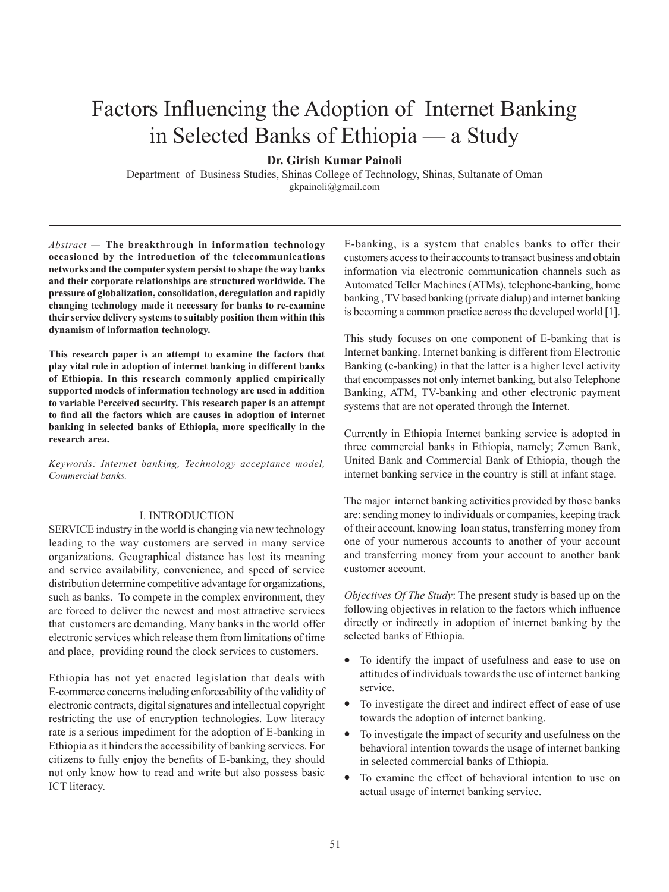# Factors Influencing the Adoption of Internet Banking in Selected Banks of Ethiopia — a Study

**Dr. Girish Kumar Painoli**

Department of Business Studies, Shinas College of Technology, Shinas, Sultanate of Oman gkpainoli@gmail.com

*Abstract —* **The breakthrough in information technology occasioned by the introduction of the telecommunications networks and the computer system persist to shape the way banks and their corporate relationships are structured worldwide. The pressure of globalization, consolidation, deregulation and rapidly changing technology made it necessary for banks to re-examine their service delivery systems to suitably position them within this dynamism of information technology.** 

**This research paper is an attempt to examine the factors that play vital role in adoption of internet banking in different banks of Ethiopia. In this research commonly applied empirically supported models of information technology are used in addition to variable Perceived security. This research paper is an attempt to find all the factors which are causes in adoption of internet banking in selected banks of Ethiopia, more specifically in the research area.** 

*Keywords: Internet banking, Technology acceptance model, Commercial banks.*

# I. INTRODUCTION

SERVICE industry in the world is changing via new technology leading to the way customers are served in many service organizations. Geographical distance has lost its meaning and service availability, convenience, and speed of service distribution determine competitive advantage for organizations, such as banks. To compete in the complex environment, they are forced to deliver the newest and most attractive services that customers are demanding. Many banks in the world offer electronic services which release them from limitations of time and place, providing round the clock services to customers.

Ethiopia has not yet enacted legislation that deals with E-commerce concerns including enforceability of the validity of electronic contracts, digital signatures and intellectual copyright restricting the use of encryption technologies. Low literacy rate is a serious impediment for the adoption of E-banking in Ethiopia as it hinders the accessibility of banking services. For citizens to fully enjoy the benefits of E-banking, they should not only know how to read and write but also possess basic ICT literacy.

E-banking, is a system that enables banks to offer their customers access to their accounts to transact business and obtain information via electronic communication channels such as Automated Teller Machines (ATMs), telephone-banking, home banking , TV based banking (private dialup) and internet banking is becoming a common practice across the developed world [1].

This study focuses on one component of E-banking that is Internet banking. Internet banking is different from Electronic Banking (e-banking) in that the latter is a higher level activity that encompasses not only internet banking, but also Telephone Banking, ATM, TV-banking and other electronic payment systems that are not operated through the Internet.

Currently in Ethiopia Internet banking service is adopted in three commercial banks in Ethiopia, namely; Zemen Bank, United Bank and Commercial Bank of Ethiopia, though the internet banking service in the country is still at infant stage.

The major internet banking activities provided by those banks are: sending money to individuals or companies, keeping track of their account, knowing loan status, transferring money from one of your numerous accounts to another of your account and transferring money from your account to another bank customer account.

*Objectives Of The Study*: The present study is based up on the following objectives in relation to the factors which influence directly or indirectly in adoption of internet banking by the selected banks of Ethiopia.

- To identify the impact of usefulness and ease to use on attitudes of individuals towards the use of internet banking service.
- To investigate the direct and indirect effect of ease of use towards the adoption of internet banking.
- To investigate the impact of security and usefulness on the behavioral intention towards the usage of internet banking in selected commercial banks of Ethiopia.
- To examine the effect of behavioral intention to use on actual usage of internet banking service.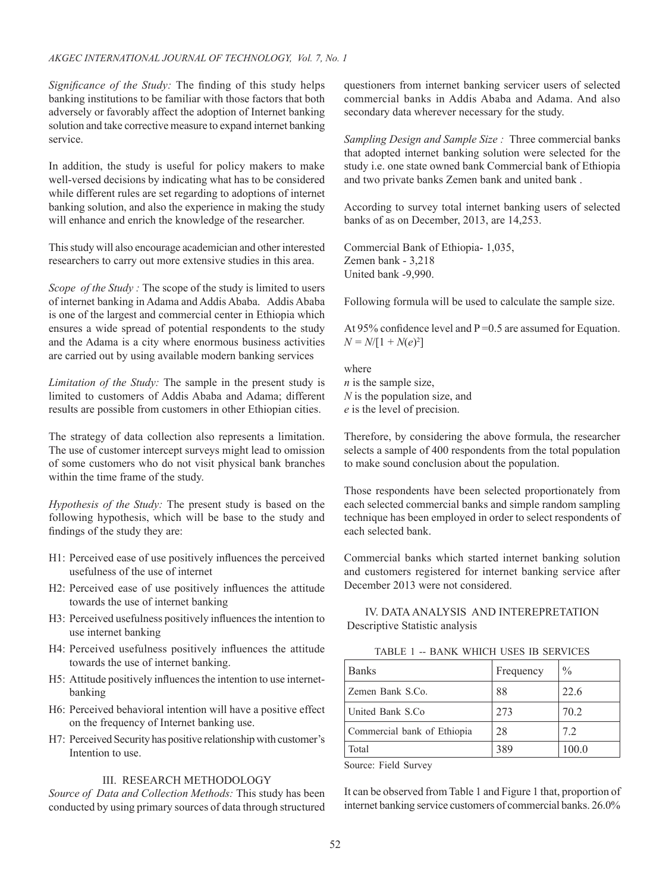*Significance of the Study:* The finding of this study helps banking institutions to be familiar with those factors that both adversely or favorably affect the adoption of Internet banking solution and take corrective measure to expand internet banking service.

In addition, the study is useful for policy makers to make well-versed decisions by indicating what has to be considered while different rules are set regarding to adoptions of internet banking solution, and also the experience in making the study will enhance and enrich the knowledge of the researcher.

This study will also encourage academician and other interested researchers to carry out more extensive studies in this area.

*Scope of the Study :* The scope of the study is limited to users of internet banking in Adama and Addis Ababa. Addis Ababa is one of the largest and commercial center in Ethiopia which ensures a wide spread of potential respondents to the study and the Adama is a city where enormous business activities are carried out by using available modern banking services

*Limitation of the Study:* The sample in the present study is limited to customers of Addis Ababa and Adama; different results are possible from customers in other Ethiopian cities.

The strategy of data collection also represents a limitation. The use of customer intercept surveys might lead to omission of some customers who do not visit physical bank branches within the time frame of the study.

*Hypothesis of the Study:* The present study is based on the following hypothesis, which will be base to the study and findings of the study they are:

- H1: Perceived ease of use positively influences the perceived usefulness of the use of internet
- H2: Perceived ease of use positively influences the attitude towards the use of internet banking
- H3: Perceived usefulness positively influences the intention to use internet banking
- H4: Perceived usefulness positively influences the attitude towards the use of internet banking.
- H5: Attitude positively influences the intention to use internetbanking
- H6: Perceived behavioral intention will have a positive effect on the frequency of Internet banking use.
- H7: Perceived Security has positive relationship with customer's Intention to use.

# III. RESEARCH METHODOLOGY

*Source of Data and Collection Methods:* This study has been conducted by using primary sources of data through structured questioners from internet banking servicer users of selected commercial banks in Addis Ababa and Adama. And also secondary data wherever necessary for the study.

*Sampling Design and Sample Size :* Three commercial banks that adopted internet banking solution were selected for the study i.e. one state owned bank Commercial bank of Ethiopia and two private banks Zemen bank and united bank .

According to survey total internet banking users of selected banks of as on December, 2013, are 14,253.

Commercial Bank of Ethiopia- 1,035, Zemen bank - 3,218 United bank -9,990.

Following formula will be used to calculate the sample size.

At 95% confidence level and P = 0.5 are assumed for Equation.  $N = N/[1 + N(e)^2]$ 

where *n* is the sample size, *N* is the population size, and *e* is the level of precision.

Therefore, by considering the above formula, the researcher selects a sample of 400 respondents from the total population to make sound conclusion about the population.

Those respondents have been selected proportionately from each selected commercial banks and simple random sampling technique has been employed in order to select respondents of each selected bank.

Commercial banks which started internet banking solution and customers registered for internet banking service after December 2013 were not considered.

# IV. DATA ANALYSIS AND INTEREPRETATION Descriptive Statistic analysis

| TABLE 1 -- BANK WHICH USES IB SERVICES |  |  |  |
|----------------------------------------|--|--|--|
|----------------------------------------|--|--|--|

| <b>Banks</b>                | Frequency | $\frac{0}{0}$ |
|-----------------------------|-----------|---------------|
| Zemen Bank S.Co.            | 88        | 22.6          |
| United Bank S.Co            | 273       | 70.2          |
| Commercial bank of Ethiopia | 28        | 7.2           |
| Total                       | 389       | 100.0         |

Source: Field Survey

It can be observed from Table 1 and Figure 1 that, proportion of internet banking service customers of commercial banks. 26.0%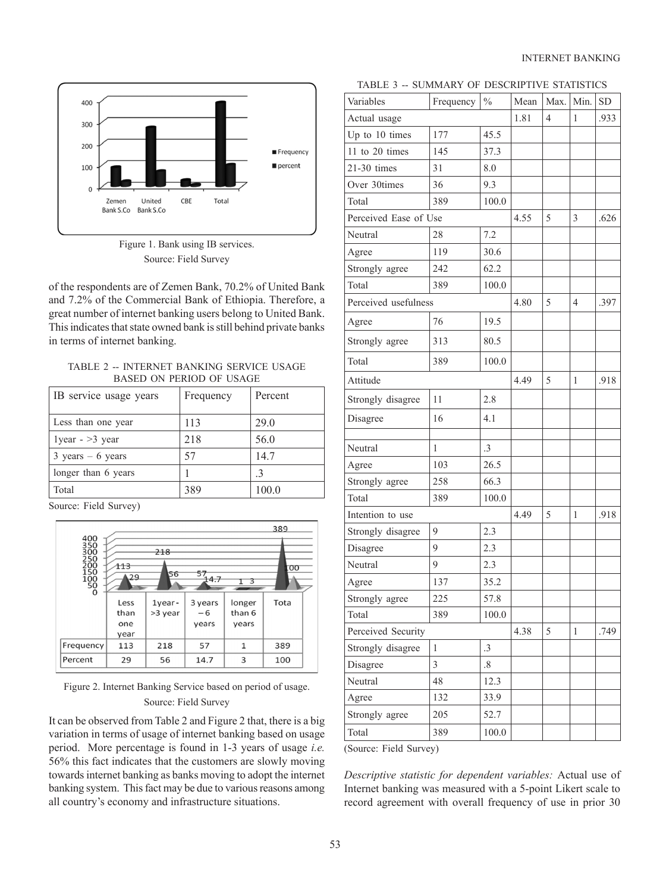

Figure 1. Bank using IB services. Source: Field Survey

of the respondents are of Zemen Bank, 70.2% of United Bank and 7.2% of the Commercial Bank of Ethiopia. Therefore, a great number of internet banking users belong to United Bank. This indicates that state owned bank is still behind private banks in terms of internet banking.

TABLE 2 -- INTERNET BANKING SERVICE USAGE BASED ON PERIOD OF USAGE

| IB service usage years              | Frequency | Percent |
|-------------------------------------|-----------|---------|
| Less than one year                  | 113       | 29.0    |
| $1$ year - > 3 year                 | 218       | 56.0    |
| $3 \text{ years} - 6 \text{ years}$ | 57        | 14.7    |
| longer than 6 years                 |           |         |
| Total                               | 389       | 100.0   |

Source: Field Survey)



Figure 2. Internet Banking Service based on period of usage. Source: Field Survey

It can be observed from Table 2 and Figure 2 that, there is a big variation in terms of usage of internet banking based on usage period. More percentage is found in 1-3 years of usage *i.e.* 56% this fact indicates that the customers are slowly moving towards internet banking as banks moving to adopt the internet banking system. This fact may be due to various reasons among all country's economy and infrastructure situations.

| TABLE 3 -- SUMMARY OF DESCRIPTIVE STATISTICS |  |  |  |
|----------------------------------------------|--|--|--|
|----------------------------------------------|--|--|--|

| Variables             | Frequency    | $\frac{0}{0}$ | Mean | Max.           | Min.           | <b>SD</b> |
|-----------------------|--------------|---------------|------|----------------|----------------|-----------|
| Actual usage          |              |               | 1.81 | $\overline{4}$ | 1              | .933      |
| Up to 10 times        | 177          | 45.5          |      |                |                |           |
| 11 to 20 times        | 145          | 37.3          |      |                |                |           |
| 21-30 times           | 31           | 8.0           |      |                |                |           |
| Over 30times          | 36           | 9.3           |      |                |                |           |
| Total                 | 389          | 100.0         |      |                |                |           |
| Perceived Ease of Use | 4.55         | 5             | 3    | .626           |                |           |
| Neutral               | 28           | 7.2           |      |                |                |           |
| Agree                 | 119          | 30.6          |      |                |                |           |
| Strongly agree        | 242          | 62.2          |      |                |                |           |
| Total                 | 389          | 100.0         |      |                |                |           |
| Perceived usefulness  |              |               | 4.80 | 5              | $\overline{4}$ | .397      |
| Agree                 | 76           | 19.5          |      |                |                |           |
| Strongly agree        | 313          | 80.5          |      |                |                |           |
| Total                 | 389          | 100.0         |      |                |                |           |
| Attitude              |              |               | 4.49 | 5              | 1              | .918      |
| Strongly disagree     | 11           | 2.8           |      |                |                |           |
| Disagree              | 16           | 4.1           |      |                |                |           |
| Neutral               | 1            | $\cdot$ 3     |      |                |                |           |
| Agree                 | 103          | 26.5          |      |                |                |           |
| Strongly agree        | 258          | 66.3          |      |                |                |           |
| Total                 | 389          | 100.0         |      |                |                |           |
| Intention to use      |              |               | 4.49 | 5              | $\mathbf{1}$   | .918      |
| Strongly disagree     | 9            | 2.3           |      |                |                |           |
| Disagree              | 9            | 2.3           |      |                |                |           |
| Neutral               | 9            | 2.3           |      |                |                |           |
| Agree                 | 137          | 35.2          |      |                |                |           |
| Strongly agree        | 225          | 57.8          |      |                |                |           |
| Total                 | 389          | 100.0         |      |                |                |           |
| Perceived Security    |              |               | 4.38 | 5              | 1              | .749      |
| Strongly disagree     | $\mathbf{1}$ | $\cdot$ 3     |      |                |                |           |
| Disagree              | 3            | $\cdot^8$     |      |                |                |           |
| Neutral               | 48           | 12.3          |      |                |                |           |
| Agree                 | 132          | 33.9          |      |                |                |           |
| Strongly agree        | 205          | 52.7          |      |                |                |           |
| Total                 | 389          | 100.0         |      |                |                |           |

(Source: Field Survey)

*Descriptive statistic for dependent variables:* Actual use of Internet banking was measured with a 5-point Likert scale to record agreement with overall frequency of use in prior 30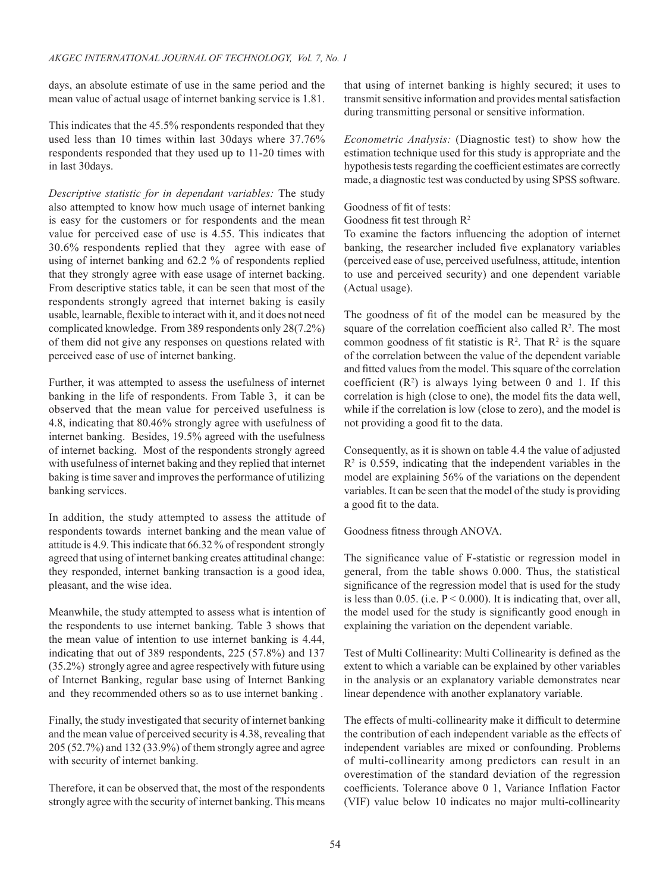days, an absolute estimate of use in the same period and the mean value of actual usage of internet banking service is 1.81.

This indicates that the 45.5% respondents responded that they used less than 10 times within last 30days where 37.76% respondents responded that they used up to 11-20 times with in last 30days.

*Descriptive statistic for in dependant variables:* The study also attempted to know how much usage of internet banking is easy for the customers or for respondents and the mean value for perceived ease of use is 4.55. This indicates that 30.6% respondents replied that they agree with ease of using of internet banking and 62.2 % of respondents replied that they strongly agree with ease usage of internet backing. From descriptive statics table, it can be seen that most of the respondents strongly agreed that internet baking is easily usable, learnable, flexible to interact with it, and it does not need complicated knowledge. From 389 respondents only 28(7.2%) of them did not give any responses on questions related with perceived ease of use of internet banking.

Further, it was attempted to assess the usefulness of internet banking in the life of respondents. From Table 3, it can be observed that the mean value for perceived usefulness is 4.8, indicating that 80.46% strongly agree with usefulness of internet banking. Besides, 19.5% agreed with the usefulness of internet backing. Most of the respondents strongly agreed with usefulness of internet baking and they replied that internet baking is time saver and improves the performance of utilizing banking services.

In addition, the study attempted to assess the attitude of respondents towards internet banking and the mean value of attitude is 4.9. This indicate that 66.32 % of respondent strongly agreed that using of internet banking creates attitudinal change: they responded, internet banking transaction is a good idea, pleasant, and the wise idea.

Meanwhile, the study attempted to assess what is intention of the respondents to use internet banking. Table 3 shows that the mean value of intention to use internet banking is 4.44, indicating that out of 389 respondents, 225 (57.8%) and 137 (35.2%) strongly agree and agree respectively with future using of Internet Banking, regular base using of Internet Banking and they recommended others so as to use internet banking .

Finally, the study investigated that security of internet banking and the mean value of perceived security is 4.38, revealing that 205 (52.7%) and 132 (33.9%) of them strongly agree and agree with security of internet banking.

Therefore, it can be observed that, the most of the respondents strongly agree with the security of internet banking. This means that using of internet banking is highly secured; it uses to transmit sensitive information and provides mental satisfaction during transmitting personal or sensitive information.

*Econometric Analysis:* (Diagnostic test) to show how the estimation technique used for this study is appropriate and the hypothesis tests regarding the coefficient estimates are correctly made, a diagnostic test was conducted by using SPSS software.

Goodness of fit of tests:

Goodness fit test through R<sup>2</sup>

To examine the factors influencing the adoption of internet banking, the researcher included five explanatory variables (perceived ease of use, perceived usefulness, attitude, intention to use and perceived security) and one dependent variable (Actual usage).

The goodness of fit of the model can be measured by the square of the correlation coefficient also called  $\mathbb{R}^2$ . The most common goodness of fit statistic is  $\mathbb{R}^2$ . That  $\mathbb{R}^2$  is the square of the correlation between the value of the dependent variable and fitted values from the model. This square of the correlation coefficient  $(R^2)$  is always lying between 0 and 1. If this correlation is high (close to one), the model fits the data well, while if the correlation is low (close to zero), and the model is not providing a good fit to the data.

Consequently, as it is shown on table 4.4 the value of adjusted  $R<sup>2</sup>$  is 0.559, indicating that the independent variables in the model are explaining 56% of the variations on the dependent variables. It can be seen that the model of the study is providing a good fit to the data.

Goodness fitness through ANOVA.

The significance value of F-statistic or regression model in general, from the table shows 0.000. Thus, the statistical significance of the regression model that is used for the study is less than 0.05. (i.e.  $P < 0.000$ ). It is indicating that, over all, the model used for the study is significantly good enough in explaining the variation on the dependent variable.

Test of Multi Collinearity: Multi Collinearity is defined as the extent to which a variable can be explained by other variables in the analysis or an explanatory variable demonstrates near linear dependence with another explanatory variable.

The effects of multi-collinearity make it difficult to determine the contribution of each independent variable as the effects of independent variables are mixed or confounding. Problems of multi-collinearity among predictors can result in an overestimation of the standard deviation of the regression coefficients. Tolerance above 0 1, Variance Inflation Factor (VIF) value below 10 indicates no major multi-collinearity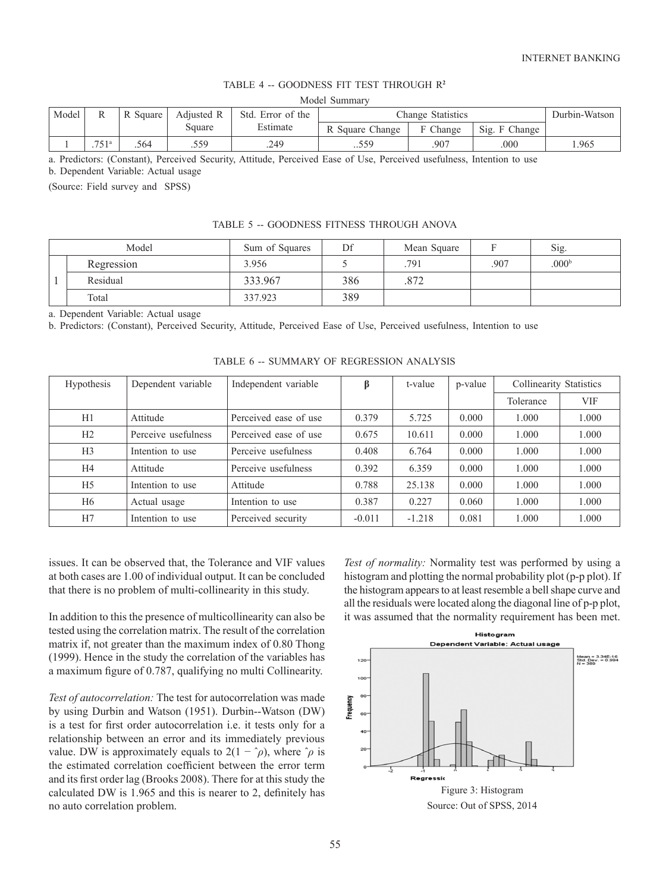# TABLE 4 -- GOODNESS FIT TEST THROUGH R**<sup>2</sup>**

| Model | R                    | R Square | Adjusted R | Std. Error of the |                 | Change Statistics |                  | Durbin-Watson |
|-------|----------------------|----------|------------|-------------------|-----------------|-------------------|------------------|---------------|
|       |                      |          | Square     | Estimate          | R Square Change | Change            | Sig.<br>F Change |               |
|       | 751a<br>. <i>.</i> . | .564     | .559       | .249              | 559             | .907              | 000              | .965          |

a. Predictors: (Constant), Perceived Security, Attitude, Perceived Ease of Use, Perceived usefulness, Intention to use

b. Dependent Variable: Actual usage

(Source: Field survey and SPSS)

### TABLE 5 -- GOODNESS FITNESS THROUGH ANOVA

| Model      | Sum of Squares | Df  | Mean Square |     | Sig.              |
|------------|----------------|-----|-------------|-----|-------------------|
| Regression | 3.956          |     | 791         | 907 | .000 <sup>b</sup> |
| Residual   | 333.967        | 386 | .872        |     |                   |
| Total      | 337.923        | 389 |             |     |                   |

a. Dependent Variable: Actual usage

b. Predictors: (Constant), Perceived Security, Attitude, Perceived Ease of Use, Perceived usefulness, Intention to use

| Hypothesis     | Dependent variable  | Independent variable  | ß        | t-value  | p-value | <b>Collinearity Statistics</b> |            |
|----------------|---------------------|-----------------------|----------|----------|---------|--------------------------------|------------|
|                |                     |                       |          |          |         | Tolerance                      | <b>VIF</b> |
| H1             | Attitude            | Perceived ease of use | 0.379    | 5.725    | 0.000   | 1.000                          | 1.000      |
| H2             | Perceive usefulness | Perceived ease of use | 0.675    | 10.611   | 0.000   | 1.000                          | 1.000      |
| H <sub>3</sub> | Intention to use    | Perceive usefulness   | 0.408    | 6.764    | 0.000   | 1.000                          | 1.000      |
| H <sub>4</sub> | Attitude            | Perceive usefulness   | 0.392    | 6.359    | 0.000   | 1.000                          | 1.000      |
| H <sub>5</sub> | Intention to use    | Attitude              | 0.788    | 25.138   | 0.000   | 1.000                          | 1.000      |
| H <sub>6</sub> | Actual usage        | Intention to use      | 0.387    | 0.227    | 0.060   | 1.000                          | 1.000      |
| H7             | Intention to use    | Perceived security    | $-0.011$ | $-1.218$ | 0.081   | 1.000                          | 1.000      |

TABLE 6 -- SUMMARY OF REGRESSION ANALYSIS

issues. It can be observed that, the Tolerance and VIF values at both cases are 1.00 of individual output. It can be concluded that there is no problem of multi-collinearity in this study.

In addition to this the presence of multicollinearity can also be tested using the correlation matrix. The result of the correlation matrix if, not greater than the maximum index of 0.80 Thong (1999). Hence in the study the correlation of the variables has a maximum figure of 0.787, qualifying no multi Collinearity.

*Test of autocorrelation:* The test for autocorrelation was made by using Durbin and Watson (1951). Durbin--Watson (DW) is a test for first order autocorrelation i.e. it tests only for a relationship between an error and its immediately previous value. DW is approximately equals to  $2(1 - \gamma \rho)$ , where  $\gamma \rho$  is the estimated correlation coefficient between the error term and its first order lag (Brooks 2008). There for at this study the calculated DW is 1.965 and this is nearer to 2, definitely has no auto correlation problem.

*Test of normality:* Normality test was performed by using a histogram and plotting the normal probability plot (p-p plot). If the histogram appears to at least resemble a bell shape curve and all the residuals were located along the diagonal line of p-p plot, it was assumed that the normality requirement has been met.

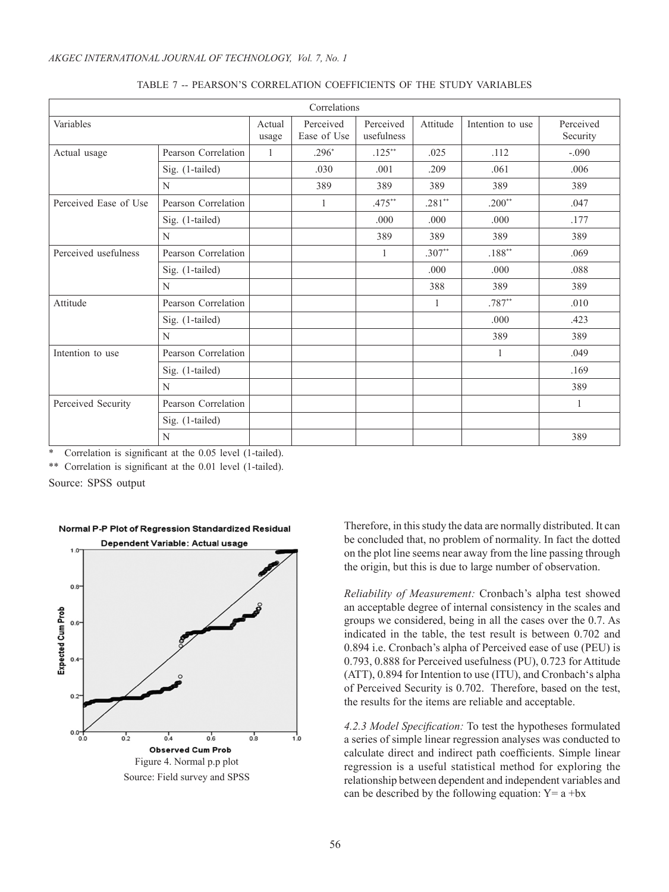|                       |                     |                 | Correlations             |                         |          |                   |                       |
|-----------------------|---------------------|-----------------|--------------------------|-------------------------|----------|-------------------|-----------------------|
| Variables             |                     | Actual<br>usage | Perceived<br>Ease of Use | Perceived<br>usefulness | Attitude | Intention to use  | Perceived<br>Security |
| Actual usage          | Pearson Correlation | $\mathbf{1}$    | $.296*$                  | $.125***$               | .025     | .112              | $-.090$               |
|                       | Sig. (1-tailed)     |                 | .030                     | .001                    | .209     | .061              | .006                  |
|                       | N                   |                 | 389                      | 389                     | 389      | 389               | 389                   |
| Perceived Ease of Use | Pearson Correlation |                 |                          | $.475**$                | $.281**$ | $.200**$          | .047                  |
|                       | Sig. (1-tailed)     |                 |                          | .000                    | .000     | .000              | .177                  |
|                       | N                   |                 |                          | 389                     | 389      | 389               | 389                   |
| Perceived usefulness  | Pearson Correlation |                 |                          | 1                       | $.307**$ | $.188^{\ast\ast}$ | .069                  |
|                       | Sig. (1-tailed)     |                 |                          |                         | .000     | .000              | .088                  |
|                       | N                   |                 |                          |                         | 388      | 389               | 389                   |
| Attitude              | Pearson Correlation |                 |                          |                         | 1        | $.787**$          | .010                  |
|                       | Sig. (1-tailed)     |                 |                          |                         |          | .000              | .423                  |
|                       | N                   |                 |                          |                         |          | 389               | 389                   |
| Intention to use      | Pearson Correlation |                 |                          |                         |          |                   | .049                  |
|                       | Sig. (1-tailed)     |                 |                          |                         |          |                   | .169                  |
|                       | N                   |                 |                          |                         |          |                   | 389                   |
| Perceived Security    | Pearson Correlation |                 |                          |                         |          |                   | $\mathbf{1}$          |
|                       | Sig. (1-tailed)     |                 |                          |                         |          |                   |                       |
|                       | N                   |                 |                          |                         |          |                   | 389                   |

### TABLE 7 -- PEARSON'S CORRELATION COEFFICIENTS OF THE STUDY VARIABLES

Correlation is significant at the 0.05 level (1-tailed).

\*\* Correlation is significant at the 0.01 level (1-tailed).

Source: SPSS output



# Normal P-P Plot of Regression Standardized Residual

Therefore, in this study the data are normally distributed. It can be concluded that, no problem of normality. In fact the dotted on the plot line seems near away from the line passing through the origin, but this is due to large number of observation.

*Reliability of Measurement:* Cronbach's alpha test showed an acceptable degree of internal consistency in the scales and groups we considered, being in all the cases over the 0.7. As indicated in the table, the test result is between 0.702 and 0.894 i.e. Cronbach's alpha of Perceived ease of use (PEU) is 0.793, 0.888 for Perceived usefulness (PU), 0.723 for Attitude (ATT), 0.894 for Intention to use (ITU), and Cronbach's alpha of Perceived Security is 0.702. Therefore, based on the test, the results for the items are reliable and acceptable.

*4.2.3 Model Specification:* To test the hypotheses formulated a series of simple linear regression analyses was conducted to calculate direct and indirect path coefficients. Simple linear regression is a useful statistical method for exploring the relationship between dependent and independent variables and can be described by the following equation:  $Y = a + bx$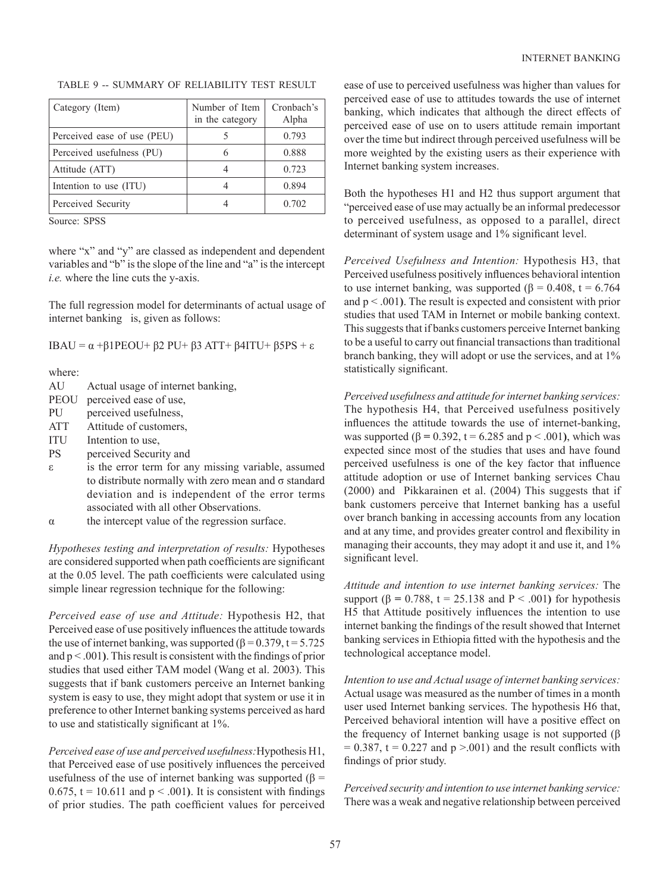| Category (Item)             | Number of Item<br>in the category | Cronbach's<br>Alpha |
|-----------------------------|-----------------------------------|---------------------|
| Perceived ease of use (PEU) |                                   | 0.793               |
| Perceived usefulness (PU)   |                                   | 0.888               |
| Attitude (ATT)              |                                   | 0.723               |
| Intention to use (ITU)      |                                   | 0.894               |
| Perceived Security          |                                   | 0.702               |

# TABLE 9 -- SUMMARY OF RELIABILITY TEST RESULT

Source: SPSS

where "x" and "y" are classed as independent and dependent variables and "b" is the slope of the line and "a" is the intercept *i.e.* where the line cuts the y-axis.

The full regression model for determinants of actual usage of internet banking is, given as follows:

IBAU = α +β1PEOU+ β2 PU+ β3 ATT+ β4ITU+ β5PS + ε

where:

| Actual usage of internet banking, | AU |  |  |  |  |
|-----------------------------------|----|--|--|--|--|
|-----------------------------------|----|--|--|--|--|

- PEOU perceived ease of use,
- PU perceived usefulness,
- ATT Attitude of customers,
- ITU Intention to use,
- PS perceived Security and
- ε is the error term for any missing variable, assumed to distribute normally with zero mean and σ standard deviation and is independent of the error terms associated with all other Observations.
- $\alpha$  the intercept value of the regression surface.

*Hypotheses testing and interpretation of results:* Hypotheses are considered supported when path coefficients are significant at the 0.05 level. The path coefficients were calculated using simple linear regression technique for the following:

*Perceived ease of use and Attitude:* Hypothesis H2, that Perceived ease of use positively influences the attitude towards the use of internet banking, was supported ( $\beta$  = 0.379, t = 5.725 and p < .001**)**. This result is consistent with the findings of prior studies that used either TAM model (Wang et al. 2003). This suggests that if bank customers perceive an Internet banking system is easy to use, they might adopt that system or use it in preference to other Internet banking systems perceived as hard to use and statistically significant at 1%.

*Perceived ease of use and perceived usefulness:*Hypothesis H1, that Perceived ease of use positively influences the perceived usefulness of the use of internet banking was supported ( $\beta$  = 0.675,  $t = 10.611$  and  $p < .001$ ). It is consistent with findings of prior studies. The path coefficient values for perceived ease of use to perceived usefulness was higher than values for perceived ease of use to attitudes towards the use of internet banking, which indicates that although the direct effects of perceived ease of use on to users attitude remain important over the time but indirect through perceived usefulness will be more weighted by the existing users as their experience with Internet banking system increases.

Both the hypotheses H1 and H2 thus support argument that "perceived ease of use may actually be an informal predecessor to perceived usefulness, as opposed to a parallel, direct determinant of system usage and 1% significant level.

*Perceived Usefulness and Intention:* Hypothesis H3, that Perceived usefulness positively influences behavioral intention to use internet banking, was supported (β = 0.408, t = 6.764 and p < .001**)**. The result is expected and consistent with prior studies that used TAM in Internet or mobile banking context. This suggests that if banks customers perceive Internet banking to be a useful to carry out financial transactions than traditional branch banking, they will adopt or use the services, and at 1% statistically significant.

*Perceived usefulness and attitude for internet banking services:*  The hypothesis H4, that Perceived usefulness positively influences the attitude towards the use of internet-banking, was supported ( $β = 0.392$ ,  $t = 6.285$  and  $p < .001$ ), which was expected since most of the studies that uses and have found perceived usefulness is one of the key factor that influence attitude adoption or use of Internet banking services Chau (2000) and Pikkarainen et al. (2004) This suggests that if bank customers perceive that Internet banking has a useful over branch banking in accessing accounts from any location and at any time, and provides greater control and flexibility in managing their accounts, they may adopt it and use it, and 1% significant level.

*Attitude and intention to use internet banking services:* The support ( $\beta$  = 0.788, t = 25.138 and P < .001) for hypothesis H5 that Attitude positively influences the intention to use internet banking the findings of the result showed that Internet banking services in Ethiopia fitted with the hypothesis and the technological acceptance model.

*Intention to use and Actual usage of internet banking services:*  Actual usage was measured as the number of times in a month user used Internet banking services. The hypothesis H6 that, Perceived behavioral intention will have a positive effect on the frequency of Internet banking usage is not supported (β  $= 0.387$ , t = 0.227 and p >.001) and the result conflicts with findings of prior study.

*Perceived security and intention to use internet banking service:*  There was a weak and negative relationship between perceived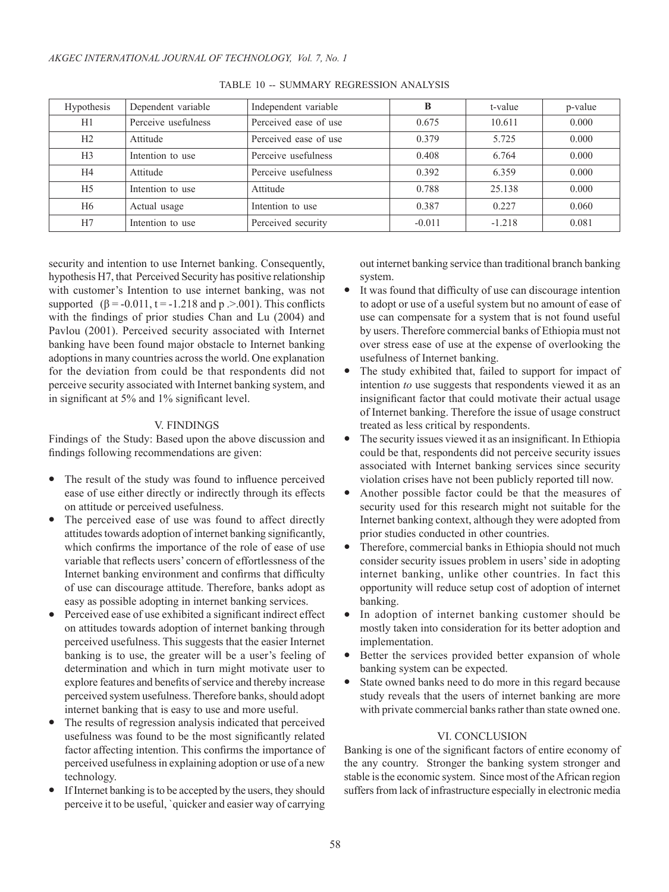| Hypothesis     | Dependent variable  | Independent variable  | в        | t-value  | p-value |
|----------------|---------------------|-----------------------|----------|----------|---------|
| H1             | Perceive usefulness | Perceived ease of use | 0.675    | 10.611   | 0.000   |
| H2             | Attitude            | Perceived ease of use | 0.379    | 5.725    | 0.000   |
| H <sub>3</sub> | Intention to use    | Perceive usefulness   | 0.408    | 6.764    | 0.000   |
| H4             | Attitude            | Perceive usefulness   | 0.392    | 6.359    | 0.000   |
| H <sub>5</sub> | Intention to use    | Attitude              | 0.788    | 25.138   | 0.000   |
| H <sub>6</sub> | Actual usage        | Intention to use      | 0.387    | 0.227    | 0.060   |
| H7             | Intention to use    | Perceived security    | $-0.011$ | $-1.218$ | 0.081   |

#### TABLE 10 -- SUMMARY REGRESSION ANALYSIS

security and intention to use Internet banking. Consequently, hypothesis H7, that Perceived Security has positive relationship with customer's Intention to use internet banking, was not supported  $(\beta = -0.011, t = -1.218$  and p .>.001). This conflicts with the findings of prior studies Chan and Lu (2004) and Pavlou (2001). Perceived security associated with Internet banking have been found major obstacle to Internet banking adoptions in many countries across the world. One explanation for the deviation from could be that respondents did not perceive security associated with Internet banking system, and in significant at 5% and 1% significant level.

### V. FINDINGS

Findings of the Study: Based upon the above discussion and findings following recommendations are given:

- The result of the study was found to influence perceived ease of use either directly or indirectly through its effects on attitude or perceived usefulness.
- The perceived ease of use was found to affect directly attitudes towards adoption of internet banking significantly, which confirms the importance of the role of ease of use variable that reflects users' concern of effortlessness of the Internet banking environment and confirms that difficulty of use can discourage attitude. Therefore, banks adopt as easy as possible adopting in internet banking services.
- <sup>l</sup> Perceived ease of use exhibited a significant indirect effect on attitudes towards adoption of internet banking through perceived usefulness. This suggests that the easier Internet banking is to use, the greater will be a user's feeling of determination and which in turn might motivate user to explore features and benefits of service and thereby increase perceived system usefulness. Therefore banks, should adopt internet banking that is easy to use and more useful.
- The results of regression analysis indicated that perceived usefulness was found to be the most significantly related factor affecting intention. This confirms the importance of perceived usefulness in explaining adoption or use of a new technology.
- If Internet banking is to be accepted by the users, they should perceive it to be useful, `quicker and easier way of carrying

out internet banking service than traditional branch banking system.

- It was found that difficulty of use can discourage intention to adopt or use of a useful system but no amount of ease of use can compensate for a system that is not found useful by users. Therefore commercial banks of Ethiopia must not over stress ease of use at the expense of overlooking the usefulness of Internet banking.
- The study exhibited that, failed to support for impact of intention *to* use suggests that respondents viewed it as an insignificant factor that could motivate their actual usage of Internet banking. Therefore the issue of usage construct treated as less critical by respondents.
- The security issues viewed it as an insignificant. In Ethiopia could be that, respondents did not perceive security issues associated with Internet banking services since security violation crises have not been publicly reported till now.
- Another possible factor could be that the measures of security used for this research might not suitable for the Internet banking context, although they were adopted from prior studies conducted in other countries.
- Therefore, commercial banks in Ethiopia should not much consider security issues problem in users' side in adopting internet banking, unlike other countries. In fact this opportunity will reduce setup cost of adoption of internet banking.
- In adoption of internet banking customer should be mostly taken into consideration for its better adoption and implementation.
- Better the services provided better expansion of whole banking system can be expected.
- State owned banks need to do more in this regard because study reveals that the users of internet banking are more with private commercial banks rather than state owned one.

# VI. CONCLUSION

Banking is one of the significant factors of entire economy of the any country. Stronger the banking system stronger and stable is the economic system. Since most of the African region suffers from lack of infrastructure especially in electronic media